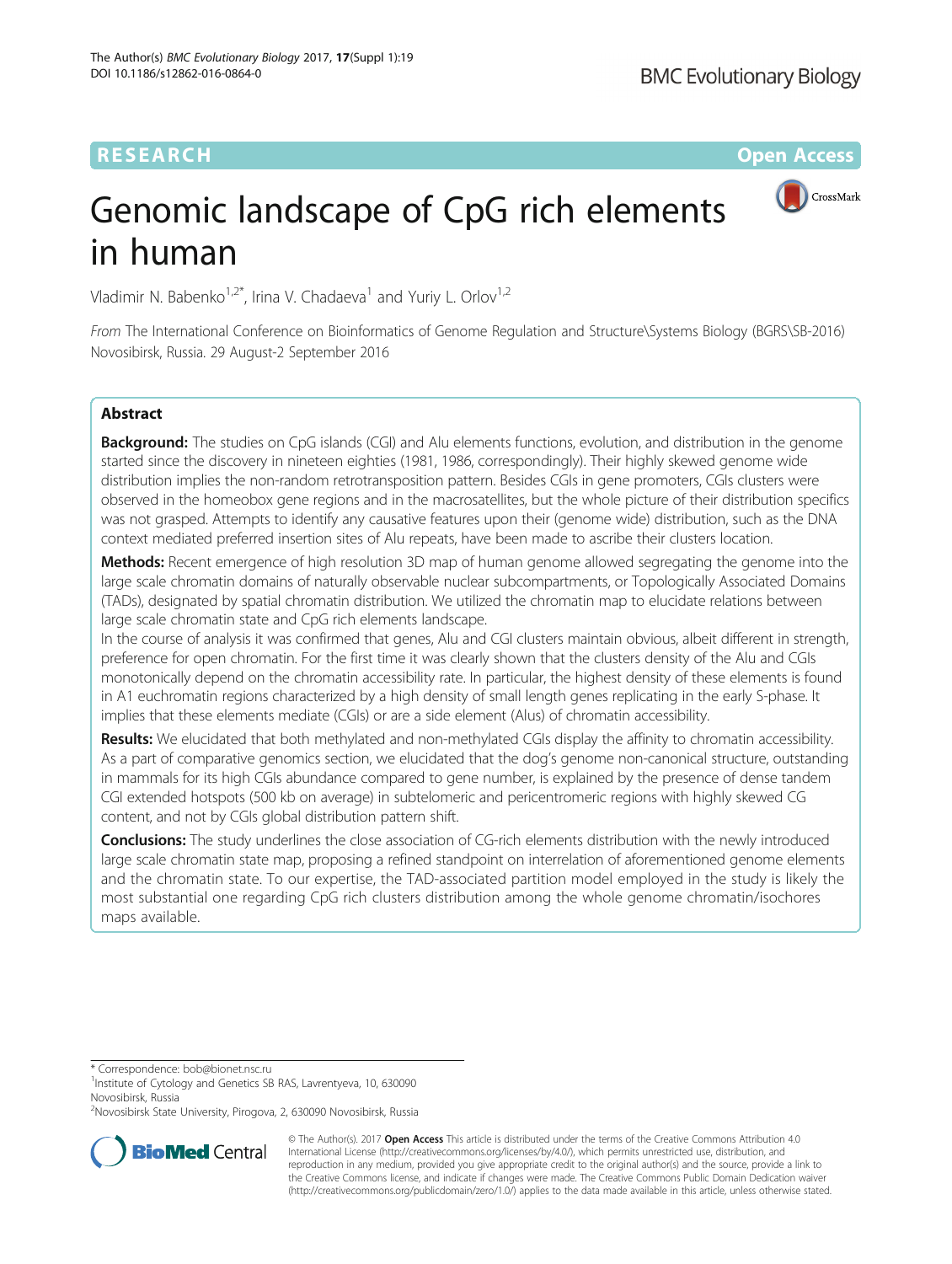# **RESEARCH CHEAR CHEAR CHEAR CHEAR CHEAR CHEAR CHEAR CHEAR CHEAR CHEAR CHEAR CHEAR CHEAR CHEAR CHEAR CHEAR CHEAR**

CrossMark



Vladimir N. Babenko<sup>1,2\*</sup>, Irina V. Chadaeva<sup>1</sup> and Yuriy L. Orlov<sup>1,2</sup>

From The International Conference on Bioinformatics of Genome Regulation and Structure\Systems Biology (BGRS\SB-2016) Novosibirsk, Russia. 29 August-2 September 2016

# Abstract

Background: The studies on CpG islands (CGI) and Alu elements functions, evolution, and distribution in the genome started since the discovery in nineteen eighties (1981, 1986, correspondingly). Their highly skewed genome wide distribution implies the non-random retrotransposition pattern. Besides CGIs in gene promoters, CGIs clusters were observed in the homeobox gene regions and in the macrosatellites, but the whole picture of their distribution specifics was not grasped. Attempts to identify any causative features upon their (genome wide) distribution, such as the DNA context mediated preferred insertion sites of Alu repeats, have been made to ascribe their clusters location.

Methods: Recent emergence of high resolution 3D map of human genome allowed segregating the genome into the large scale chromatin domains of naturally observable nuclear subcompartments, or Topologically Associated Domains (TADs), designated by spatial chromatin distribution. We utilized the chromatin map to elucidate relations between large scale chromatin state and CpG rich elements landscape.

In the course of analysis it was confirmed that genes, Alu and CGI clusters maintain obvious, albeit different in strength, preference for open chromatin. For the first time it was clearly shown that the clusters density of the Alu and CGIs monotonically depend on the chromatin accessibility rate. In particular, the highest density of these elements is found in A1 euchromatin regions characterized by a high density of small length genes replicating in the early S-phase. It implies that these elements mediate (CGIs) or are a side element (Alus) of chromatin accessibility.

Results: We elucidated that both methylated and non-methylated CGIs display the affinity to chromatin accessibility. As a part of comparative genomics section, we elucidated that the dog's genome non-canonical structure, outstanding in mammals for its high CGIs abundance compared to gene number, is explained by the presence of dense tandem CGI extended hotspots (500 kb on average) in subtelomeric and pericentromeric regions with highly skewed CG content, and not by CGIs global distribution pattern shift.

**Conclusions:** The study underlines the close association of CG-rich elements distribution with the newly introduced large scale chromatin state map, proposing a refined standpoint on interrelation of aforementioned genome elements and the chromatin state. To our expertise, the TAD-associated partition model employed in the study is likely the most substantial one regarding CpG rich clusters distribution among the whole genome chromatin/isochores maps available.

\* Correspondence: [bob@bionet.nsc.ru](mailto:bob@bionet.nsc.ru) <sup>1</sup>

<sup>1</sup>Institute of Cytology and Genetics SB RAS, Lavrentyeva, 10, 630090 Novosibirsk, Russia

<sup>&</sup>lt;sup>2</sup>Novosibirsk State University, Pirogova, 2, 630090 Novosibirsk, Russia



© The Author(s). 2017 **Open Access** This article is distributed under the terms of the Creative Commons Attribution 4.0 International License [\(http://creativecommons.org/licenses/by/4.0/](http://creativecommons.org/licenses/by/4.0/)), which permits unrestricted use, distribution, and reproduction in any medium, provided you give appropriate credit to the original author(s) and the source, provide a link to the Creative Commons license, and indicate if changes were made. The Creative Commons Public Domain Dedication waiver [\(http://creativecommons.org/publicdomain/zero/1.0/](http://creativecommons.org/publicdomain/zero/1.0/)) applies to the data made available in this article, unless otherwise stated.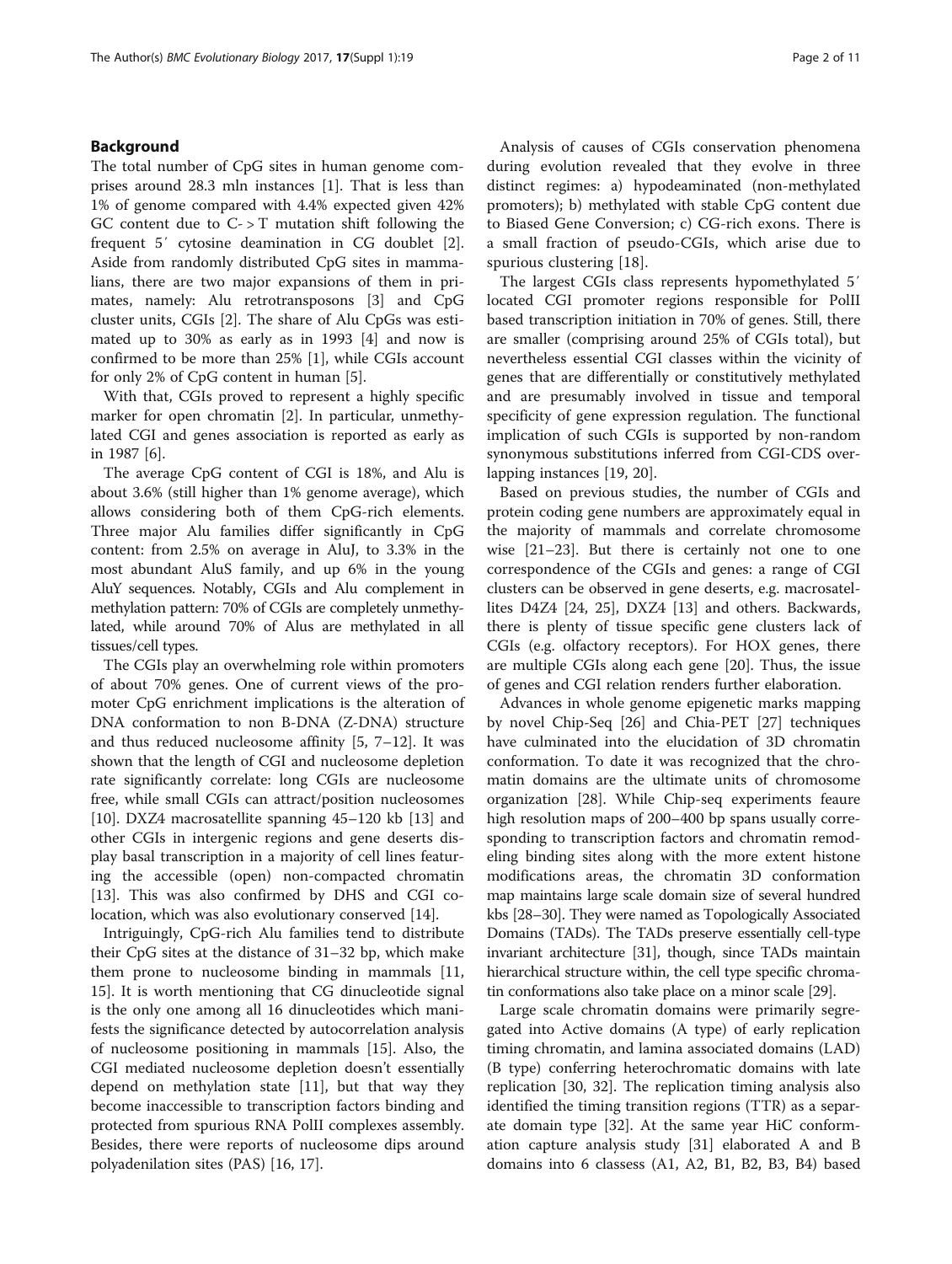# Background

The total number of CpG sites in human genome comprises around 28.3 mln instances [\[1](#page-9-0)]. That is less than 1% of genome compared with 4.4% expected given 42% GC content due to  $C \rightarrow T$  mutation shift following the frequent 5′ cytosine deamination in CG doublet [\[2](#page-9-0)]. Aside from randomly distributed CpG sites in mammalians, there are two major expansions of them in primates, namely: Alu retrotransposons [[3\]](#page-9-0) and CpG cluster units, CGIs [[2\]](#page-9-0). The share of Alu CpGs was estimated up to 30% as early as in 1993 [[4\]](#page-9-0) and now is confirmed to be more than 25% [[1\]](#page-9-0), while CGIs account for only 2% of CpG content in human [\[5](#page-9-0)].

With that, CGIs proved to represent a highly specific marker for open chromatin [\[2\]](#page-9-0). In particular, unmethylated CGI and genes association is reported as early as in 1987 [\[6](#page-9-0)].

The average CpG content of CGI is 18%, and Alu is about 3.6% (still higher than 1% genome average), which allows considering both of them CpG-rich elements. Three major Alu families differ significantly in CpG content: from 2.5% on average in AluJ, to 3.3% in the most abundant AluS family, and up 6% in the young AluY sequences. Notably, CGIs and Alu complement in methylation pattern: 70% of CGIs are completely unmethylated, while around 70% of Alus are methylated in all tissues/cell types.

The CGIs play an overwhelming role within promoters of about 70% genes. One of current views of the promoter CpG enrichment implications is the alteration of DNA conformation to non B-DNA (Z-DNA) structure and thus reduced nucleosome affinity  $[5, 7-12]$  $[5, 7-12]$  $[5, 7-12]$  $[5, 7-12]$  $[5, 7-12]$  $[5, 7-12]$ . It was shown that the length of CGI and nucleosome depletion rate significantly correlate: long CGIs are nucleosome free, while small CGIs can attract/position nucleosomes [[10\]](#page-9-0). DXZ4 macrosatellite spanning 45–120 kb [[13\]](#page-9-0) and other CGIs in intergenic regions and gene deserts display basal transcription in a majority of cell lines featuring the accessible (open) non-compacted chromatin [[13\]](#page-9-0). This was also confirmed by DHS and CGI colocation, which was also evolutionary conserved [[14\]](#page-9-0).

Intriguingly, CpG-rich Alu families tend to distribute their CpG sites at the distance of 31–32 bp, which make them prone to nucleosome binding in mammals [[11](#page-9-0), [15\]](#page-9-0). It is worth mentioning that CG dinucleotide signal is the only one among all 16 dinucleotides which manifests the significance detected by autocorrelation analysis of nucleosome positioning in mammals [[15\]](#page-9-0). Also, the CGI mediated nucleosome depletion doesn't essentially depend on methylation state [\[11](#page-9-0)], but that way they become inaccessible to transcription factors binding and protected from spurious RNA PolII complexes assembly. Besides, there were reports of nucleosome dips around polyadenilation sites (PAS) [\[16](#page-9-0), [17\]](#page-9-0).

Analysis of causes of CGIs conservation phenomena during evolution revealed that they evolve in three distinct regimes: a) hypodeaminated (non-methylated promoters); b) methylated with stable CpG content due to Biased Gene Conversion; c) CG-rich exons. There is a small fraction of pseudo-CGIs, which arise due to spurious clustering [\[18](#page-9-0)].

The largest CGIs class represents hypomethylated 5′ located CGI promoter regions responsible for PolII based transcription initiation in 70% of genes. Still, there are smaller (comprising around 25% of CGIs total), but nevertheless essential CGI classes within the vicinity of genes that are differentially or constitutively methylated and are presumably involved in tissue and temporal specificity of gene expression regulation. The functional implication of such CGIs is supported by non-random synonymous substitutions inferred from CGI-CDS overlapping instances [\[19, 20\]](#page-9-0).

Based on previous studies, the number of CGIs and protein coding gene numbers are approximately equal in the majority of mammals and correlate chromosome wise [\[21](#page-9-0)–[23\]](#page-9-0). But there is certainly not one to one correspondence of the CGIs and genes: a range of CGI clusters can be observed in gene deserts, e.g. macrosatellites D4Z4 [\[24, 25](#page-9-0)], DXZ4 [\[13\]](#page-9-0) and others. Backwards, there is plenty of tissue specific gene clusters lack of CGIs (e.g. olfactory receptors). For HOX genes, there are multiple CGIs along each gene [[20](#page-9-0)]. Thus, the issue of genes and CGI relation renders further elaboration.

Advances in whole genome epigenetic marks mapping by novel Chip-Seq [\[26](#page-9-0)] and Chia-PET [[27\]](#page-9-0) techniques have culminated into the elucidation of 3D chromatin conformation. To date it was recognized that the chromatin domains are the ultimate units of chromosome organization [\[28](#page-9-0)]. While Chip-seq experiments feaure high resolution maps of 200–400 bp spans usually corresponding to transcription factors and chromatin remodeling binding sites along with the more extent histone modifications areas, the chromatin 3D conformation map maintains large scale domain size of several hundred kbs [[28](#page-9-0)–[30\]](#page-9-0). They were named as Topologically Associated Domains (TADs). The TADs preserve essentially cell-type invariant architecture [[31](#page-9-0)], though, since TADs maintain hierarchical structure within, the cell type specific chromatin conformations also take place on a minor scale [[29](#page-9-0)].

Large scale chromatin domains were primarily segregated into Active domains (A type) of early replication timing chromatin, and lamina associated domains (LAD) (B type) conferring heterochromatic domains with late replication [\[30, 32\]](#page-9-0). The replication timing analysis also identified the timing transition regions (TTR) as a separate domain type [\[32\]](#page-9-0). At the same year HiC conformation capture analysis study [[31\]](#page-9-0) elaborated A and B domains into 6 classess (A1, A2, B1, B2, B3, B4) based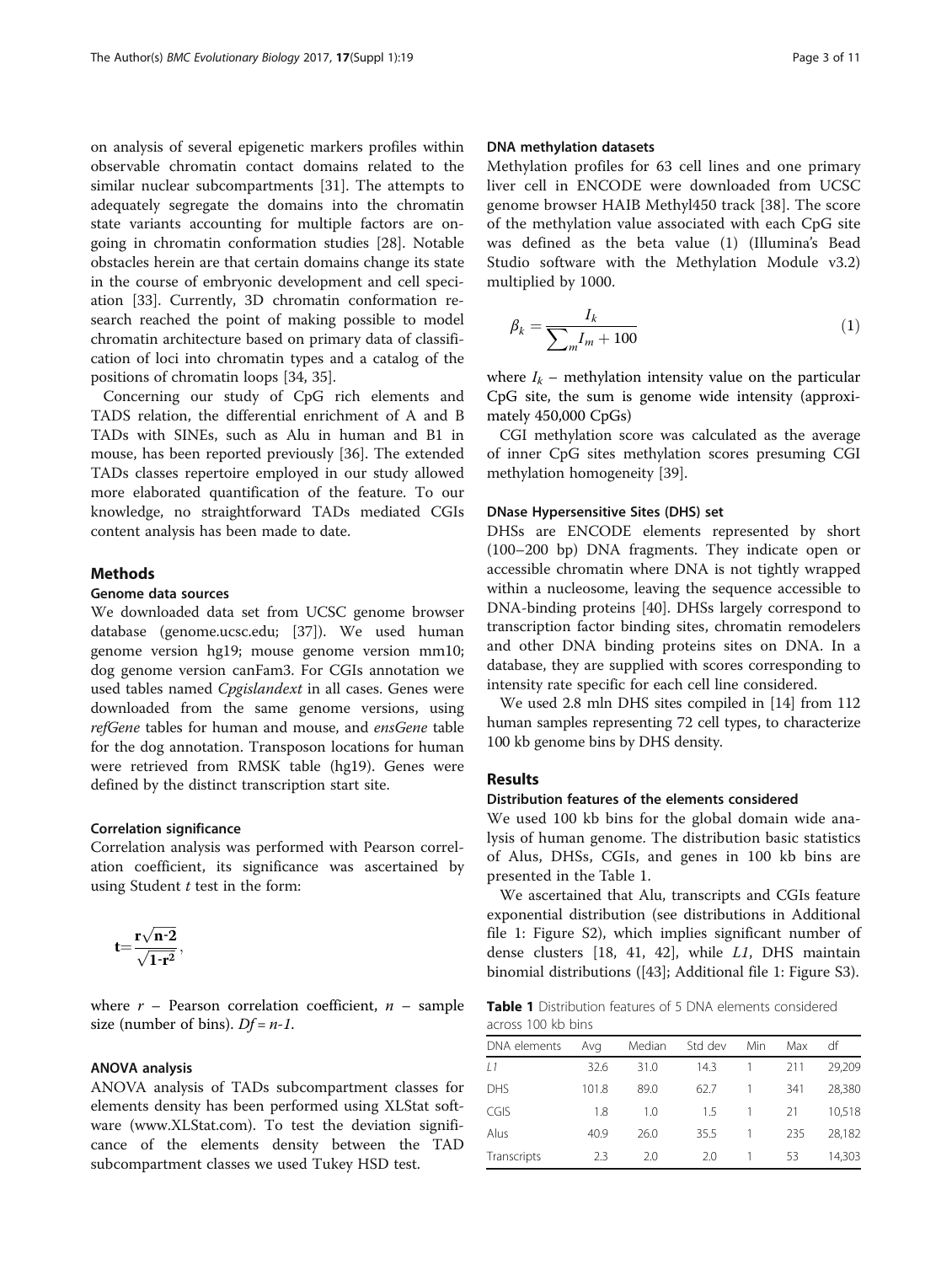<span id="page-2-0"></span>on analysis of several epigenetic markers profiles within observable chromatin contact domains related to the similar nuclear subcompartments [\[31](#page-9-0)]. The attempts to adequately segregate the domains into the chromatin state variants accounting for multiple factors are ongoing in chromatin conformation studies [[28\]](#page-9-0). Notable obstacles herein are that certain domains change its state in the course of embryonic development and cell speciation [[33\]](#page-9-0). Currently, 3D chromatin conformation research reached the point of making possible to model chromatin architecture based on primary data of classification of loci into chromatin types and a catalog of the positions of chromatin loops [\[34](#page-9-0), [35](#page-9-0)].

Concerning our study of CpG rich elements and TADS relation, the differential enrichment of A and B TADs with SINEs, such as Alu in human and B1 in mouse, has been reported previously [\[36](#page-10-0)]. The extended TADs classes repertoire employed in our study allowed more elaborated quantification of the feature. To our knowledge, no straightforward TADs mediated CGIs content analysis has been made to date.

# Methods

# Genome data sources

We downloaded data set from UCSC genome browser database (genome.ucsc.edu; [[37\]](#page-10-0)). We used human genome version hg19; mouse genome version mm10; dog genome version canFam3. For CGIs annotation we used tables named Cpgislandext in all cases. Genes were downloaded from the same genome versions, using refGene tables for human and mouse, and ensGene table for the dog annotation. Transposon locations for human were retrieved from RMSK table (hg19). Genes were defined by the distinct transcription start site.

### Correlation significance

Correlation analysis was performed with Pearson correlation coefficient, its significance was ascertained by using Student  $t$  test in the form:

$$
t{=}\frac{r\sqrt{n-2}}{\sqrt{1{-}r^2}},
$$

where  $r$  – Pearson correlation coefficient,  $n$  – sample size (number of bins).  $Df = n-1$ .

### ANOVA analysis

ANOVA analysis of TADs subcompartment classes for elements density has been performed using XLStat software [\(www.XLStat.com\)](http://www.xlstat.com/). To test the deviation significance of the elements density between the TAD subcompartment classes we used Tukey HSD test.

# DNA methylation datasets

Methylation profiles for 63 cell lines and one primary liver cell in ENCODE were downloaded from UCSC genome browser HAIB Methyl450 track [[38\]](#page-10-0). The score of the methylation value associated with each CpG site was defined as the beta value (1) (Illumina's Bead Studio software with the Methylation Module v3.2) multiplied by 1000.

$$
\beta_k = \frac{I_k}{\sum_m I_m + 100} \tag{1}
$$

where  $I_k$  – methylation intensity value on the particular CpG site, the sum is genome wide intensity (approximately 450,000 CpGs)

CGI methylation score was calculated as the average of inner CpG sites methylation scores presuming CGI methylation homogeneity [\[39](#page-10-0)].

### DNase Hypersensitive Sites (DHS) set

DHSs are ENCODE elements represented by short (100–200 bp) DNA fragments. They indicate open or accessible chromatin where DNA is not tightly wrapped within a nucleosome, leaving the sequence accessible to DNA-binding proteins [[40](#page-10-0)]. DHSs largely correspond to transcription factor binding sites, chromatin remodelers and other DNA binding proteins sites on DNA. In a database, they are supplied with scores corresponding to intensity rate specific for each cell line considered.

We used 2.8 mln DHS sites compiled in [[14\]](#page-9-0) from 112 human samples representing 72 cell types, to characterize 100 kb genome bins by DHS density.

### Results

### Distribution features of the elements considered

We used 100 kb bins for the global domain wide analysis of human genome. The distribution basic statistics of Alus, DHSs, CGIs, and genes in 100 kb bins are presented in the Table 1.

We ascertained that Alu, transcripts and CGIs feature exponential distribution (see distributions in Additional file [1:](#page-8-0) Figure S2), which implies significant number of dense clusters [\[18,](#page-9-0) [41, 42\]](#page-10-0), while L1, DHS maintain binomial distributions ([\[43](#page-10-0)]; Additional file [1:](#page-8-0) Figure S3).

Table 1 Distribution features of 5 DNA elements considered across 100 kb bins

| DNA elements  | Avg   | Median | Std dev | Min | Max | df     |
|---------------|-------|--------|---------|-----|-----|--------|
| $\frac{1}{2}$ | 32.6  | 31.0   | 14.3    |     | 211 | 29,209 |
| <b>DHS</b>    | 101.8 | 89.0   | 62.7    |     | 341 | 28.380 |
| CGIS          | 1.8   | 1.0    | 1.5     |     | 21  | 10.518 |
| Alus          | 40.9  | 26.0   | 35.5    |     | 235 | 28.182 |
| Transcripts   | フ3    | 2.0    | 2.0     |     | 53  | 14,303 |
|               |       |        |         |     |     |        |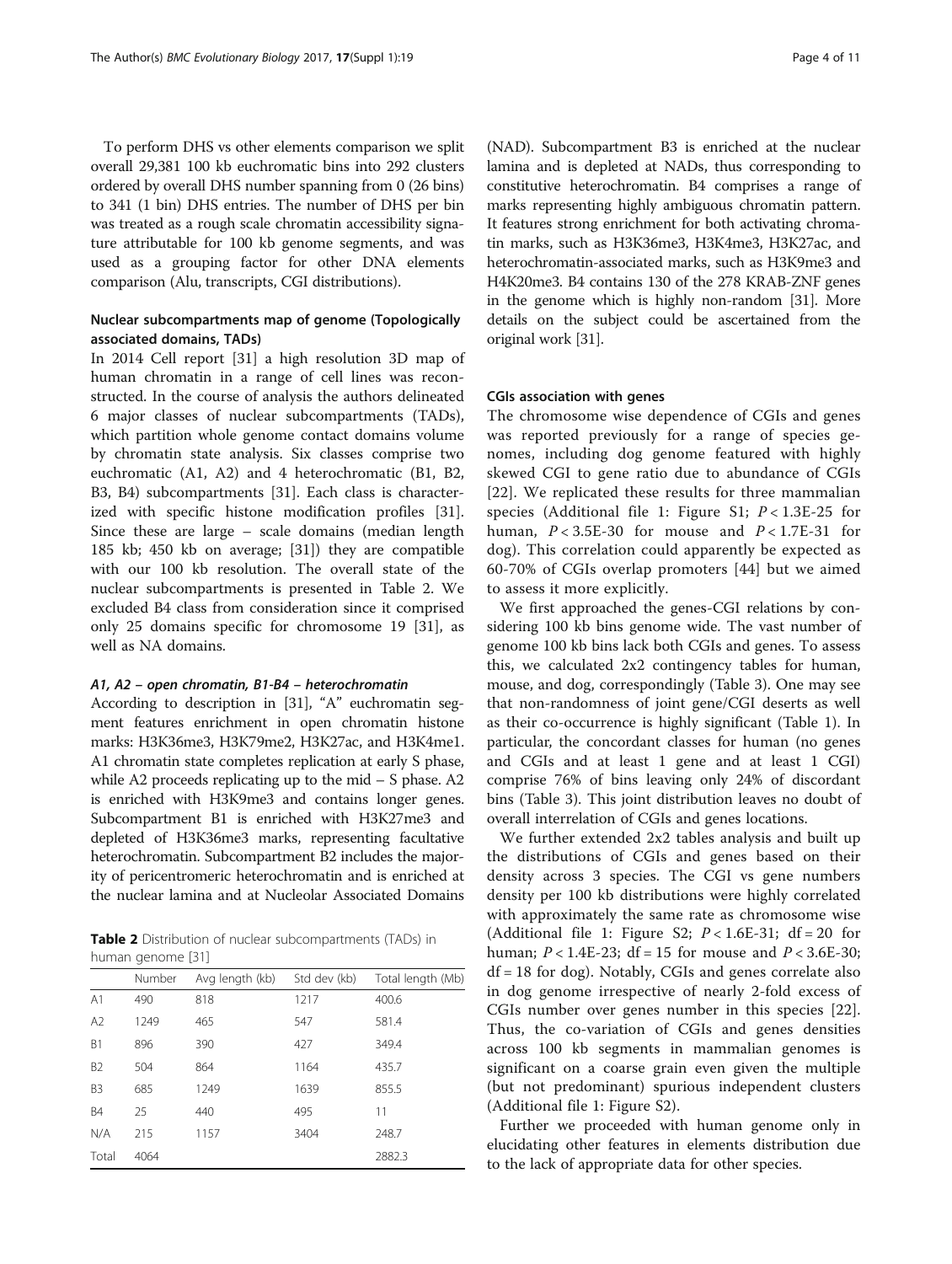<span id="page-3-0"></span>To perform DHS vs other elements comparison we split overall 29,381 100 kb euchromatic bins into 292 clusters ordered by overall DHS number spanning from 0 (26 bins) to 341 (1 bin) DHS entries. The number of DHS per bin was treated as a rough scale chromatin accessibility signature attributable for 100 kb genome segments, and was used as a grouping factor for other DNA elements comparison (Alu, transcripts, CGI distributions).

# Nuclear subcompartments map of genome (Topologically associated domains, TADs)

In 2014 Cell report [\[31](#page-9-0)] a high resolution 3D map of human chromatin in a range of cell lines was reconstructed. In the course of analysis the authors delineated 6 major classes of nuclear subcompartments (TADs), which partition whole genome contact domains volume by chromatin state analysis. Six classes comprise two euchromatic (A1, A2) and 4 heterochromatic (B1, B2, B3, B4) subcompartments [[31](#page-9-0)]. Each class is characterized with specific histone modification profiles [\[31](#page-9-0)]. Since these are large – scale domains (median length 185 kb; 450 kb on average; [\[31](#page-9-0)]) they are compatible with our 100 kb resolution. The overall state of the nuclear subcompartments is presented in Table 2. We excluded B4 class from consideration since it comprised only 25 domains specific for chromosome 19 [\[31\]](#page-9-0), as well as NA domains.

### A1, A2 – open chromatin, B1-B4 – heterochromatin

According to description in [[31](#page-9-0)], "A" euchromatin segment features enrichment in open chromatin histone marks: H3K36me3, H3K79me2, H3K27ac, and H3K4me1. A1 chromatin state completes replication at early S phase, while A2 proceeds replicating up to the mid – S phase. A2 is enriched with H3K9me3 and contains longer genes. Subcompartment B1 is enriched with H3K27me3 and depleted of H3K36me3 marks, representing facultative heterochromatin. Subcompartment B2 includes the majority of pericentromeric heterochromatin and is enriched at the nuclear lamina and at Nucleolar Associated Domains

Table 2 Distribution of nuclear subcompartments (TADs) in human genome [\[31\]](#page-9-0)

|                | Number | Avg length (kb) | Std dev (kb) | Total length (Mb) |  |  |
|----------------|--------|-----------------|--------------|-------------------|--|--|
| A <sub>1</sub> | 490    | 818             | 1217         | 400.6             |  |  |
| A2             | 1249   | 465             | 547          | 581.4             |  |  |
| B <sub>1</sub> | 896    | 390             | 427          | 349.4             |  |  |
| B <sub>2</sub> | 504    | 864             | 1164         | 435.7             |  |  |
| B <sub>3</sub> | 685    | 1249            | 1639         | 855.5             |  |  |
| <b>B4</b>      | 25     | 440             | 495          | 11                |  |  |
| N/A            | 215    | 1157            | 3404         | 248.7             |  |  |
| Total          | 4064   |                 |              | 2882.3            |  |  |

(NAD). Subcompartment B3 is enriched at the nuclear lamina and is depleted at NADs, thus corresponding to constitutive heterochromatin. B4 comprises a range of marks representing highly ambiguous chromatin pattern. It features strong enrichment for both activating chromatin marks, such as H3K36me3, H3K4me3, H3K27ac, and heterochromatin-associated marks, such as H3K9me3 and H4K20me3. B4 contains 130 of the 278 KRAB-ZNF genes in the genome which is highly non-random [\[31\]](#page-9-0). More details on the subject could be ascertained from the original work [\[31\]](#page-9-0).

# CGIs association with genes

The chromosome wise dependence of CGIs and genes was reported previously for a range of species genomes, including dog genome featured with highly skewed CGI to gene ratio due to abundance of CGIs [[22](#page-9-0)]. We replicated these results for three mammalian species (Additional file [1:](#page-8-0) Figure S1;  $P < 1.3E-25$  for human,  $P < 3.5E-30$  for mouse and  $P < 1.7E-31$  for dog). This correlation could apparently be expected as 60-70% of CGIs overlap promoters [[44\]](#page-10-0) but we aimed to assess it more explicitly.

We first approached the genes-CGI relations by considering 100 kb bins genome wide. The vast number of genome 100 kb bins lack both CGIs and genes. To assess this, we calculated 2x2 contingency tables for human, mouse, and dog, correspondingly (Table [3](#page-4-0)). One may see that non-randomness of joint gene/CGI deserts as well as their co-occurrence is highly significant (Table [1\)](#page-2-0). In particular, the concordant classes for human (no genes and CGIs and at least 1 gene and at least 1 CGI) comprise 76% of bins leaving only 24% of discordant bins (Table [3\)](#page-4-0). This joint distribution leaves no doubt of overall interrelation of CGIs and genes locations.

We further extended 2x2 tables analysis and built up the distributions of CGIs and genes based on their density across 3 species. The CGI vs gene numbers density per 100 kb distributions were highly correlated with approximately the same rate as chromosome wise (Additional file [1](#page-8-0): Figure S2;  $P < 1.6E-31$ ; df = 20 for human;  $P < 1.4E-23$ ; df = 15 for mouse and  $P < 3.6E-30$ ;  $df = 18$  for dog). Notably, CGIs and genes correlate also in dog genome irrespective of nearly 2-fold excess of CGIs number over genes number in this species [\[22](#page-9-0)]. Thus, the co-variation of CGIs and genes densities across 100 kb segments in mammalian genomes is significant on a coarse grain even given the multiple (but not predominant) spurious independent clusters (Additional file [1:](#page-8-0) Figure S2).

Further we proceeded with human genome only in elucidating other features in elements distribution due to the lack of appropriate data for other species.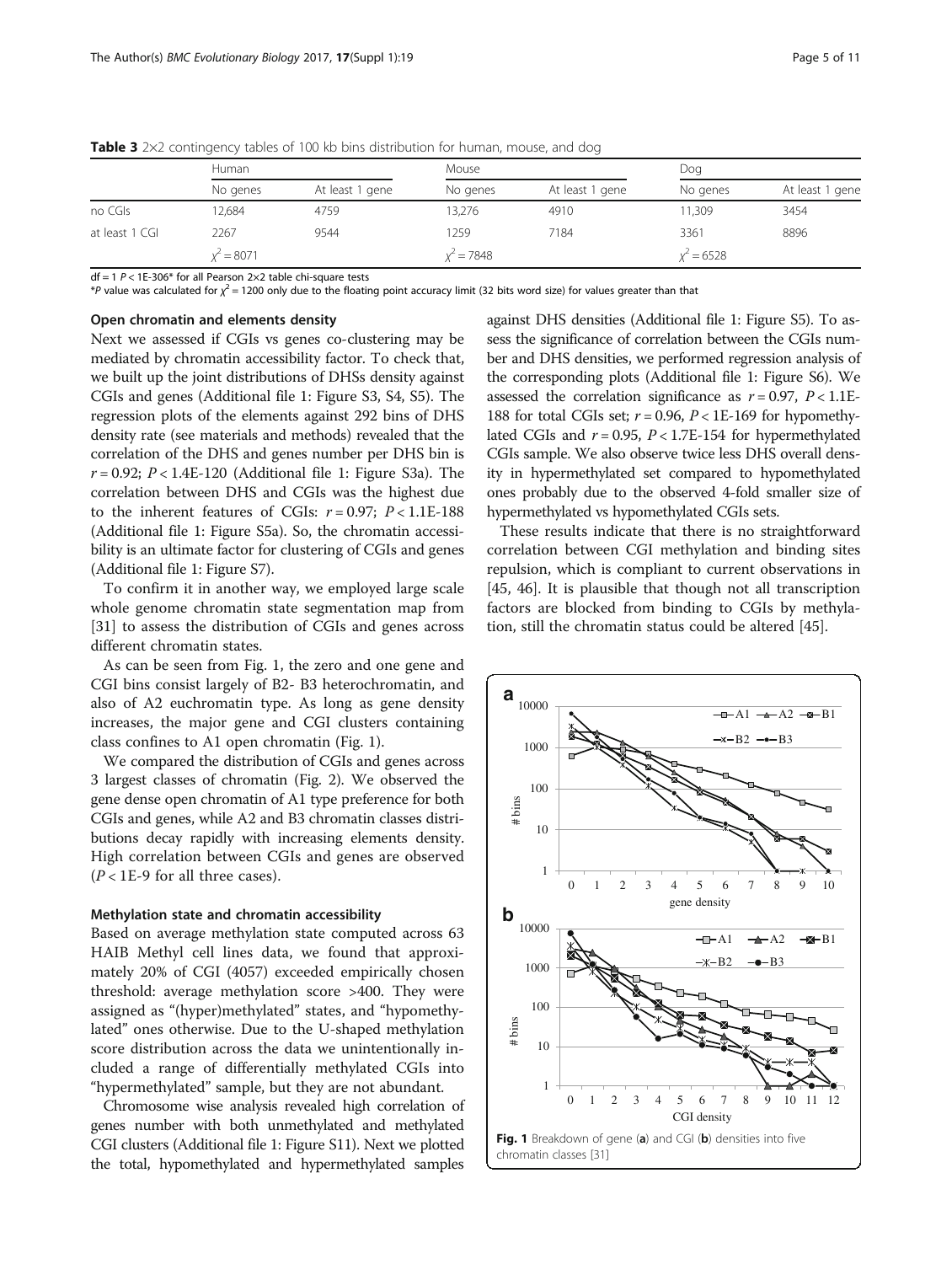|                | Human        |                 | <b>Mouse</b> |                 | Dog          |                 |
|----------------|--------------|-----------------|--------------|-----------------|--------------|-----------------|
|                | No genes     | At least 1 gene | No genes     | At least 1 gene | No genes     | At least 1 gene |
| no CGIs        | 12.684       | 4759            | 13.276       | 4910            | 11.309       | 3454            |
| at least 1 CGI | 2267         | 9544            | 1259         | 7184            | 3361         | 8896            |
|                | $x^2 = 8071$ |                 | $x^2 = 7848$ |                 | $x^2 = 6528$ |                 |
|                |              |                 |              |                 |              |                 |

<span id="page-4-0"></span>**Table 3** 2 $\times$ 2 contingency tables of 100 kb bins distribution for human, mouse, and dog

 $df = 1$   $P < 1E-306*$  for all Pearson 2×2 table chi-square tests

\*P value was calculated for  $\chi^2$  = 1200 only due to the floating point accuracy limit (32 bits word size) for values greater than that

# Open chromatin and elements density

Next we assessed if CGIs vs genes co-clustering may be mediated by chromatin accessibility factor. To check that, we built up the joint distributions of DHSs density against CGIs and genes (Additional file [1:](#page-8-0) Figure S3, S4, S5). The regression plots of the elements against 292 bins of DHS density rate (see materials and methods) revealed that the correlation of the DHS and genes number per DHS bin is  $r = 0.92$ ;  $P < 1.4E-120$  $P < 1.4E-120$  $P < 1.4E-120$  (Additional file 1: Figure S3a). The correlation between DHS and CGIs was the highest due to the inherent features of CGIs:  $r = 0.97$ ;  $P < 1.1E-188$ (Additional file [1](#page-8-0): Figure S5a). So, the chromatin accessibility is an ultimate factor for clustering of CGIs and genes (Additional file [1](#page-8-0): Figure S7).

To confirm it in another way, we employed large scale whole genome chromatin state segmentation map from [[31\]](#page-9-0) to assess the distribution of CGIs and genes across different chromatin states.

As can be seen from Fig. 1, the zero and one gene and CGI bins consist largely of B2- B3 heterochromatin, and also of A2 euchromatin type. As long as gene density increases, the major gene and CGI clusters containing class confines to A1 open chromatin (Fig. 1).

We compared the distribution of CGIs and genes across 3 largest classes of chromatin (Fig. [2](#page-5-0)). We observed the gene dense open chromatin of A1 type preference for both CGIs and genes, while A2 and B3 chromatin classes distributions decay rapidly with increasing elements density. High correlation between CGIs and genes are observed  $(P < 1E-9$  for all three cases).

### Methylation state and chromatin accessibility

Based on average methylation state computed across 63 HAIB Methyl cell lines data, we found that approximately 20% of CGI (4057) exceeded empirically chosen threshold: average methylation score >400. They were assigned as "(hyper)methylated" states, and "hypomethylated" ones otherwise. Due to the U-shaped methylation score distribution across the data we unintentionally included a range of differentially methylated CGIs into "hypermethylated" sample, but they are not abundant.

Chromosome wise analysis revealed high correlation of genes number with both unmethylated and methylated CGI clusters (Additional file [1:](#page-8-0) Figure S11). Next we plotted the total, hypomethylated and hypermethylated samples

against DHS densities (Additional file [1:](#page-8-0) Figure S5). To assess the significance of correlation between the CGIs number and DHS densities, we performed regression analysis of the corresponding plots (Additional file [1:](#page-8-0) Figure S6). We assessed the correlation significance as  $r = 0.97$ ,  $P < 1.1E$ 188 for total CGIs set;  $r = 0.96$ ,  $P < 1E-169$  for hypomethylated CGIs and  $r = 0.95$ ,  $P < 1.7E-154$  for hypermethylated CGIs sample. We also observe twice less DHS overall density in hypermethylated set compared to hypomethylated ones probably due to the observed 4-fold smaller size of hypermethylated vs hypomethylated CGIs sets.

These results indicate that there is no straightforward correlation between CGI methylation and binding sites repulsion, which is compliant to current observations in [[45, 46](#page-10-0)]. It is plausible that though not all transcription factors are blocked from binding to CGIs by methylation, still the chromatin status could be altered [\[45\]](#page-10-0).

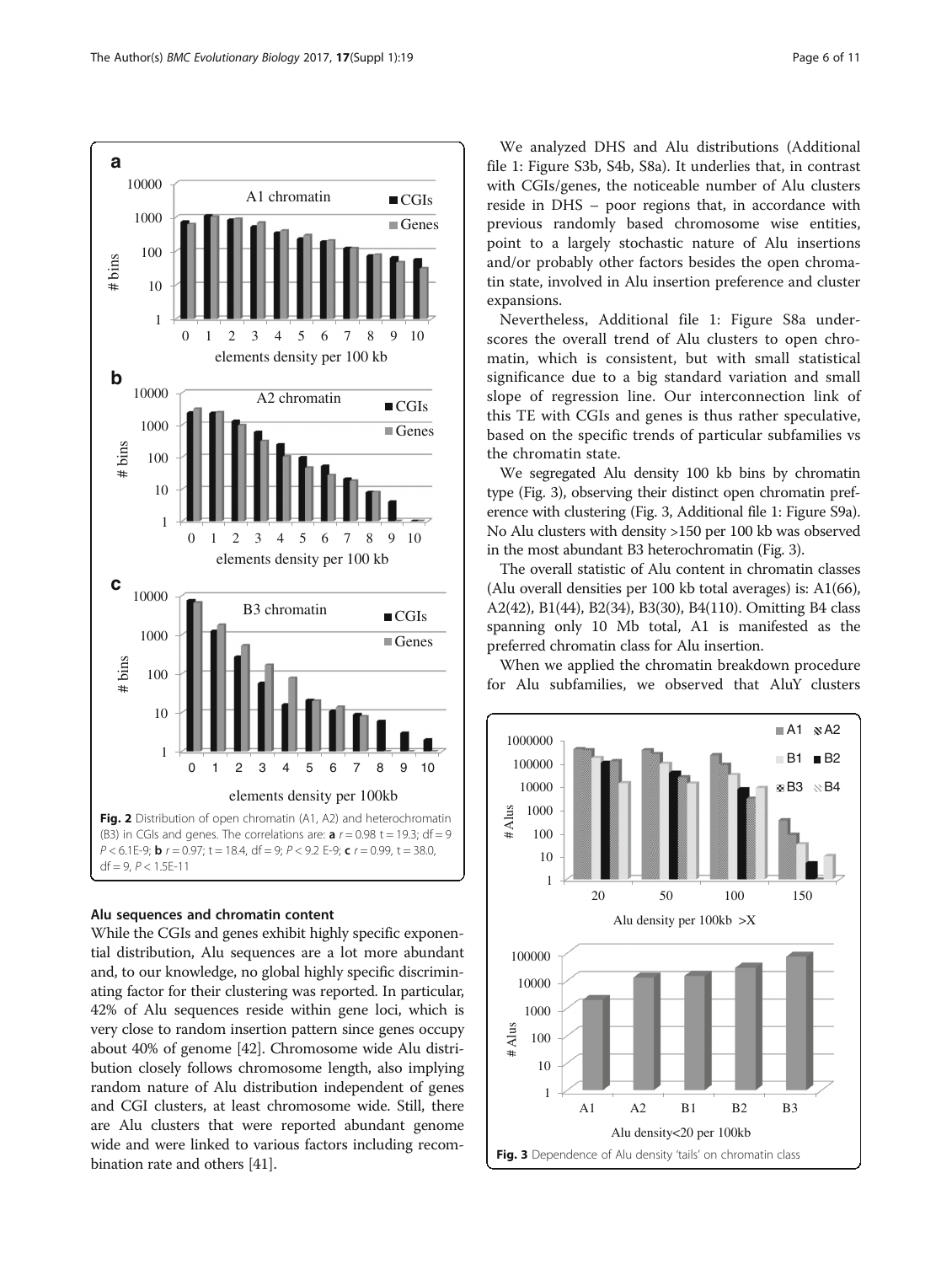<span id="page-5-0"></span>

# Alu sequences and chromatin content

While the CGIs and genes exhibit highly specific exponential distribution, Alu sequences are a lot more abundant and, to our knowledge, no global highly specific discriminating factor for their clustering was reported. In particular, 42% of Alu sequences reside within gene loci, which is very close to random insertion pattern since genes occupy about 40% of genome [\[42\]](#page-10-0). Chromosome wide Alu distribution closely follows chromosome length, also implying random nature of Alu distribution independent of genes and CGI clusters, at least chromosome wide. Still, there are Alu clusters that were reported abundant genome wide and were linked to various factors including recombination rate and others [\[41\]](#page-10-0).

We analyzed DHS and Alu distributions (Additional file [1](#page-8-0): Figure S3b, S4b, S8a). It underlies that, in contrast with CGIs/genes, the noticeable number of Alu clusters reside in DHS – poor regions that, in accordance with previous randomly based chromosome wise entities, point to a largely stochastic nature of Alu insertions and/or probably other factors besides the open chromatin state, involved in Alu insertion preference and cluster expansions.

Nevertheless, Additional file [1:](#page-8-0) Figure S8a underscores the overall trend of Alu clusters to open chromatin, which is consistent, but with small statistical significance due to a big standard variation and small slope of regression line. Our interconnection link of this TE with CGIs and genes is thus rather speculative, based on the specific trends of particular subfamilies vs the chromatin state.

We segregated Alu density 100 kb bins by chromatin type (Fig. 3), observing their distinct open chromatin preference with clustering (Fig. 3, Additional file [1](#page-8-0): Figure S9a). No Alu clusters with density >150 per 100 kb was observed in the most abundant B3 heterochromatin (Fig. 3).

The overall statistic of Alu content in chromatin classes (Alu overall densities per 100 kb total averages) is: A1(66), A2(42), B1(44), B2(34), B3(30), B4(110). Omitting B4 class spanning only 10 Mb total, A1 is manifested as the preferred chromatin class for Alu insertion.

When we applied the chromatin breakdown procedure for Alu subfamilies, we observed that AluY clusters

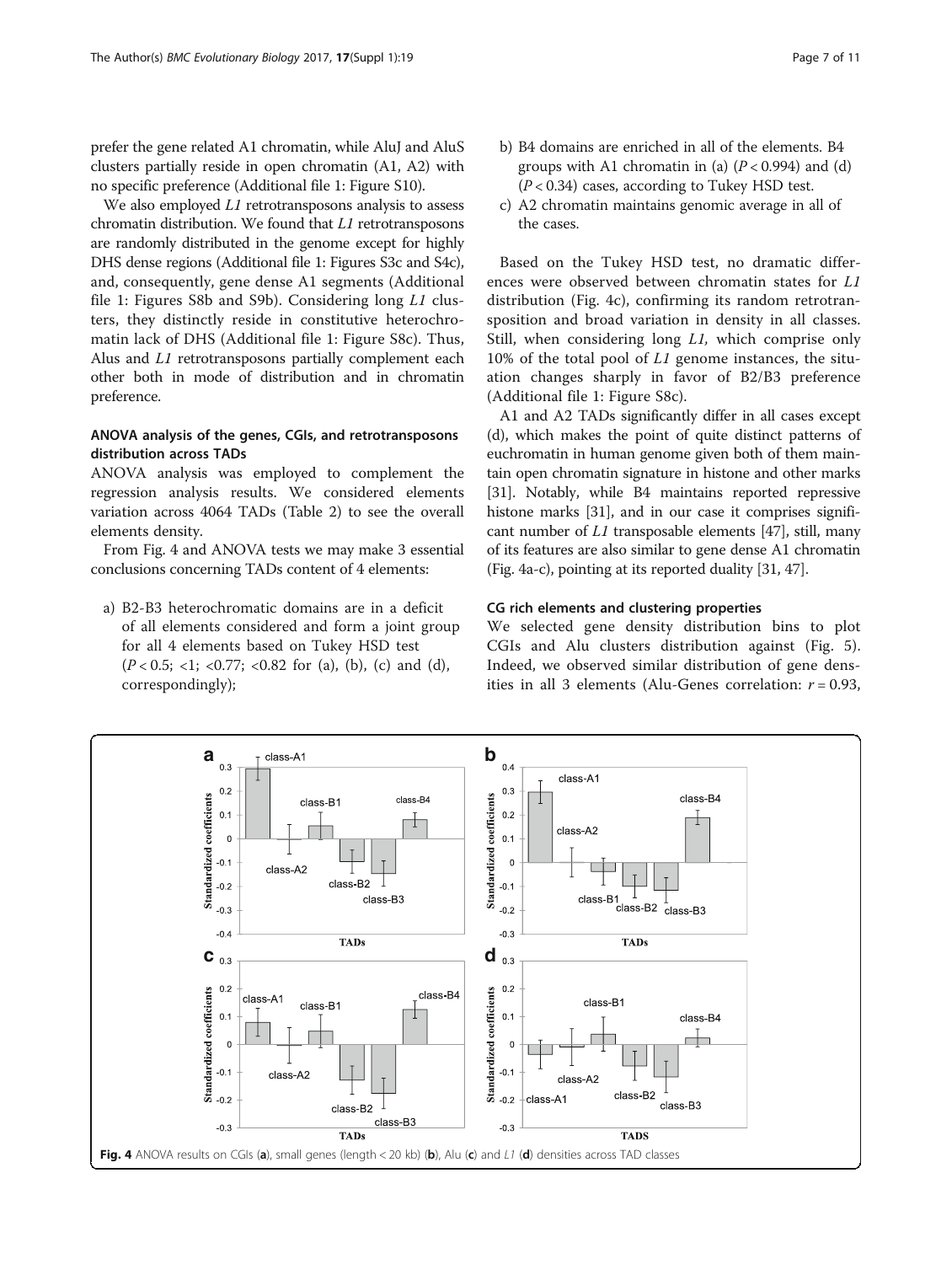<span id="page-6-0"></span>prefer the gene related A1 chromatin, while AluJ and AluS clusters partially reside in open chromatin (A1, A2) with no specific preference (Additional file [1](#page-8-0): Figure S10).

We also employed L1 retrotransposons analysis to assess chromatin distribution. We found that L1 retrotransposons are randomly distributed in the genome except for highly DHS dense regions (Additional file [1:](#page-8-0) Figures S3c and S4c), and, consequently, gene dense A1 segments (Additional file [1](#page-8-0): Figures S8b and S9b). Considering long L1 clusters, they distinctly reside in constitutive heterochromatin lack of DHS (Additional file [1](#page-8-0): Figure S8c). Thus, Alus and L1 retrotransposons partially complement each other both in mode of distribution and in chromatin preference.

# ANOVA analysis of the genes, CGIs, and retrotransposons distribution across TADs

ANOVA analysis was employed to complement the regression analysis results. We considered elements variation across 4064 TADs (Table [2\)](#page-3-0) to see the overall elements density.

From Fig. 4 and ANOVA tests we may make 3 essential conclusions concerning TADs content of 4 elements:

a) B2-B3 heterochromatic domains are in a deficit of all elements considered and form a joint group for all 4 elements based on Tukey HSD test  $(P < 0.5; <1; < 0.77; < 0.82$  for (a), (b), (c) and (d), correspondingly);

- b) B4 domains are enriched in all of the elements. B4 groups with A1 chromatin in (a)  $(P < 0.994)$  and (d)  $(P< 0.34)$  cases, according to Tukey HSD test.
- c) A2 chromatin maintains genomic average in all of the cases.

Based on the Tukey HSD test, no dramatic differences were observed between chromatin states for L1 distribution (Fig. 4c), confirming its random retrotransposition and broad variation in density in all classes. Still, when considering long L1, which comprise only 10% of the total pool of  $L1$  genome instances, the situation changes sharply in favor of B2/B3 preference (Additional file [1:](#page-8-0) Figure S8c).

A1 and A2 TADs significantly differ in all cases except (d), which makes the point of quite distinct patterns of euchromatin in human genome given both of them maintain open chromatin signature in histone and other marks [[31](#page-9-0)]. Notably, while B4 maintains reported repressive histone marks [[31](#page-9-0)], and in our case it comprises significant number of L1 transposable elements [\[47\]](#page-10-0), still, many of its features are also similar to gene dense A1 chromatin (Fig. 4a-c), pointing at its reported duality [[31](#page-9-0), [47\]](#page-10-0).

# CG rich elements and clustering properties

We selected gene density distribution bins to plot CGIs and Alu clusters distribution against (Fig. [5](#page-7-0)). Indeed, we observed similar distribution of gene densities in all 3 elements (Alu-Genes correlation:  $r = 0.93$ ,

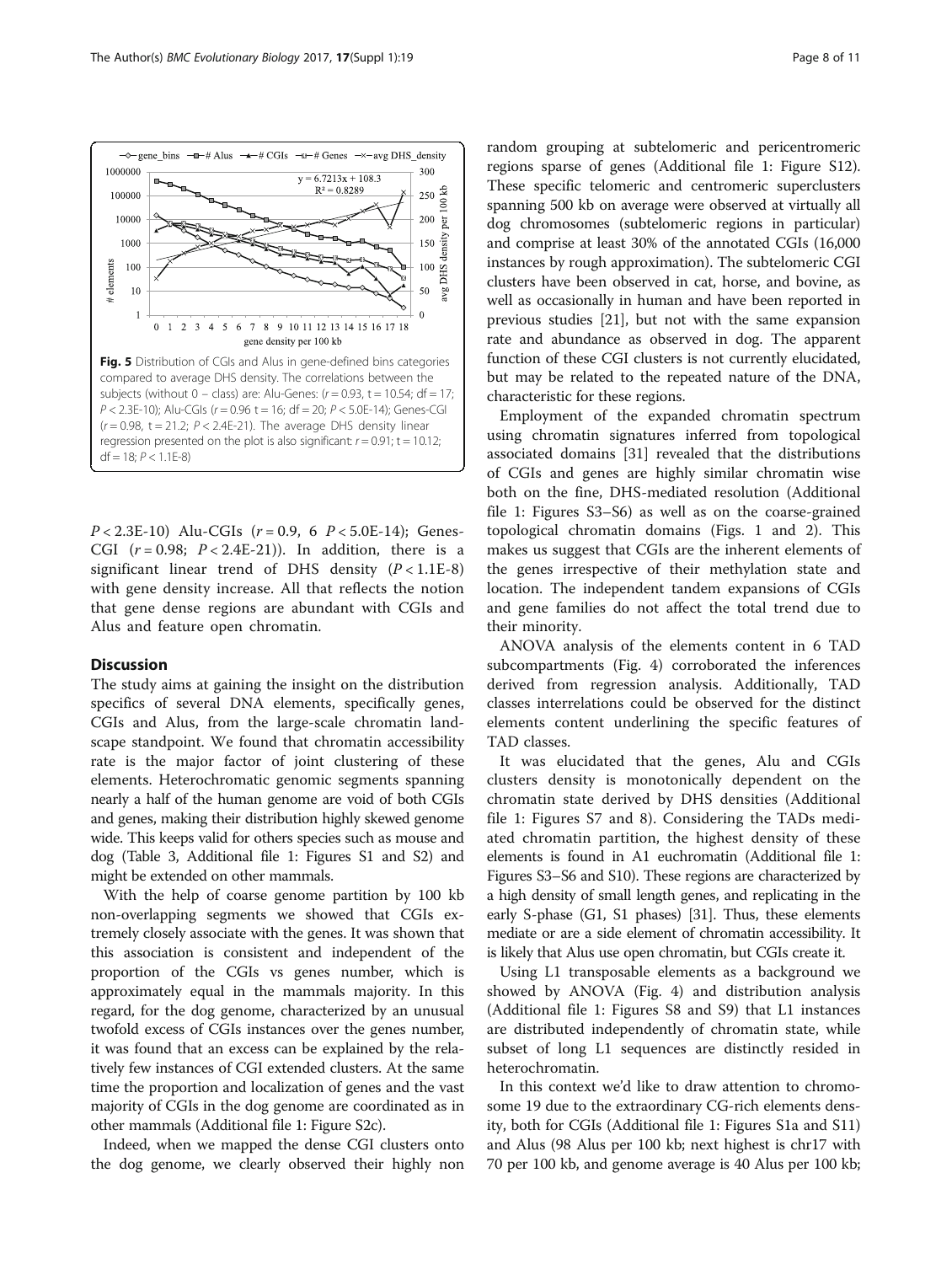<span id="page-7-0"></span>

 $P < 2.3E-10$ ) Alu-CGIs ( $r = 0.9$ , 6  $P < 5.0E-14$ ); Genes-CGI  $(r = 0.98; P < 2.4E-21)$ ). In addition, there is a significant linear trend of DHS density  $(P < 1.1E-8)$ with gene density increase. All that reflects the notion that gene dense regions are abundant with CGIs and Alus and feature open chromatin.

# **Discussion**

The study aims at gaining the insight on the distribution specifics of several DNA elements, specifically genes, CGIs and Alus, from the large-scale chromatin landscape standpoint. We found that chromatin accessibility rate is the major factor of joint clustering of these elements. Heterochromatic genomic segments spanning nearly a half of the human genome are void of both CGIs and genes, making their distribution highly skewed genome wide. This keeps valid for others species such as mouse and dog (Table [3,](#page-4-0) Additional file [1](#page-8-0): Figures S1 and S2) and might be extended on other mammals.

With the help of coarse genome partition by 100 kb non-overlapping segments we showed that CGIs extremely closely associate with the genes. It was shown that this association is consistent and independent of the proportion of the CGIs vs genes number, which is approximately equal in the mammals majority. In this regard, for the dog genome, characterized by an unusual twofold excess of CGIs instances over the genes number, it was found that an excess can be explained by the relatively few instances of CGI extended clusters. At the same time the proportion and localization of genes and the vast majority of CGIs in the dog genome are coordinated as in other mammals (Additional file [1:](#page-8-0) Figure S2c).

Indeed, when we mapped the dense CGI clusters onto the dog genome, we clearly observed their highly non

random grouping at subtelomeric and pericentromeric regions sparse of genes (Additional file [1](#page-8-0): Figure S12). These specific telomeric and centromeric superclusters spanning 500 kb on average were observed at virtually all dog chromosomes (subtelomeric regions in particular) and comprise at least 30% of the annotated CGIs (16,000 instances by rough approximation). The subtelomeric CGI clusters have been observed in cat, horse, and bovine, as well as occasionally in human and have been reported in previous studies [[21](#page-9-0)], but not with the same expansion rate and abundance as observed in dog. The apparent function of these CGI clusters is not currently elucidated, but may be related to the repeated nature of the DNA, characteristic for these regions.

Employment of the expanded chromatin spectrum using chromatin signatures inferred from topological associated domains [\[31\]](#page-9-0) revealed that the distributions of CGIs and genes are highly similar chromatin wise both on the fine, DHS-mediated resolution (Additional file [1](#page-8-0): Figures S3–S6) as well as on the coarse-grained topological chromatin domains (Figs. [1](#page-4-0) and [2](#page-5-0)). This makes us suggest that CGIs are the inherent elements of the genes irrespective of their methylation state and location. The independent tandem expansions of CGIs and gene families do not affect the total trend due to their minority.

ANOVA analysis of the elements content in 6 TAD subcompartments (Fig. [4\)](#page-6-0) corroborated the inferences derived from regression analysis. Additionally, TAD classes interrelations could be observed for the distinct elements content underlining the specific features of TAD classes.

It was elucidated that the genes, Alu and CGIs clusters density is monotonically dependent on the chromatin state derived by DHS densities (Additional file [1](#page-8-0): Figures S7 and 8). Considering the TADs mediated chromatin partition, the highest density of these elements is found in A1 euchromatin (Additional file [1](#page-8-0): Figures S3–S6 and S10). These regions are characterized by a high density of small length genes, and replicating in the early S-phase (G1, S1 phases) [[31](#page-9-0)]. Thus, these elements mediate or are a side element of chromatin accessibility. It is likely that Alus use open chromatin, but CGIs create it.

Using L1 transposable elements as a background we showed by ANOVA (Fig. [4\)](#page-6-0) and distribution analysis (Additional file [1](#page-8-0): Figures S8 and S9) that L1 instances are distributed independently of chromatin state, while subset of long L1 sequences are distinctly resided in heterochromatin.

In this context we'd like to draw attention to chromosome 19 due to the extraordinary CG-rich elements density, both for CGIs (Additional file [1](#page-8-0): Figures S1a and S11) and Alus (98 Alus per 100 kb; next highest is chr17 with 70 per 100 kb, and genome average is 40 Alus per 100 kb;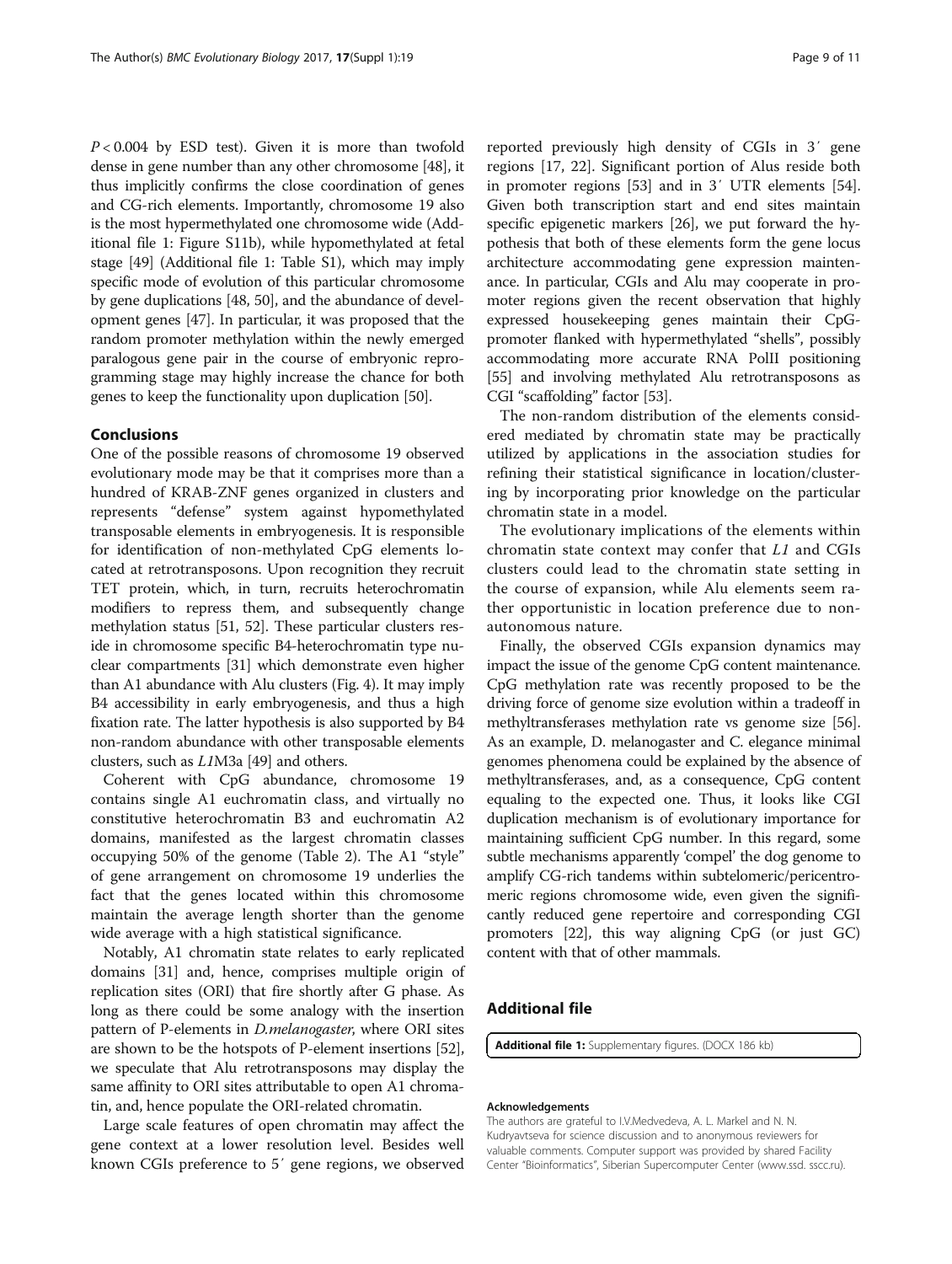<span id="page-8-0"></span> $P < 0.004$  by ESD test). Given it is more than twofold dense in gene number than any other chromosome [\[48](#page-10-0)], it thus implicitly confirms the close coordination of genes and CG-rich elements. Importantly, chromosome 19 also is the most hypermethylated one chromosome wide (Additional file 1: Figure S11b), while hypomethylated at fetal stage [[49](#page-10-0)] (Additional file 1: Table S1), which may imply specific mode of evolution of this particular chromosome by gene duplications [[48](#page-10-0), [50\]](#page-10-0), and the abundance of development genes [\[47\]](#page-10-0). In particular, it was proposed that the random promoter methylation within the newly emerged paralogous gene pair in the course of embryonic reprogramming stage may highly increase the chance for both genes to keep the functionality upon duplication [[50](#page-10-0)].

# Conclusions

One of the possible reasons of chromosome 19 observed evolutionary mode may be that it comprises more than a hundred of KRAB-ZNF genes organized in clusters and represents "defense" system against hypomethylated transposable elements in embryogenesis. It is responsible for identification of non-methylated CpG elements located at retrotransposons. Upon recognition they recruit TET protein, which, in turn, recruits heterochromatin modifiers to repress them, and subsequently change methylation status [[51](#page-10-0), [52\]](#page-10-0). These particular clusters reside in chromosome specific B4-heterochromatin type nuclear compartments [[31](#page-9-0)] which demonstrate even higher than A1 abundance with Alu clusters (Fig. [4](#page-6-0)). It may imply B4 accessibility in early embryogenesis, and thus a high fixation rate. The latter hypothesis is also supported by B4 non-random abundance with other transposable elements clusters, such as L1M3a [[49](#page-10-0)] and others.

Coherent with CpG abundance, chromosome 19 contains single A1 euchromatin class, and virtually no constitutive heterochromatin B3 and euchromatin A2 domains, manifested as the largest chromatin classes occupying 50% of the genome (Table [2\)](#page-3-0). The A1 "style" of gene arrangement on chromosome 19 underlies the fact that the genes located within this chromosome maintain the average length shorter than the genome wide average with a high statistical significance.

Notably, A1 chromatin state relates to early replicated domains [\[31\]](#page-9-0) and, hence, comprises multiple origin of replication sites (ORI) that fire shortly after G phase. As long as there could be some analogy with the insertion pattern of P-elements in D.melanogaster, where ORI sites are shown to be the hotspots of P-element insertions [[52](#page-10-0)], we speculate that Alu retrotransposons may display the same affinity to ORI sites attributable to open A1 chromatin, and, hence populate the ORI-related chromatin.

Large scale features of open chromatin may affect the gene context at a lower resolution level. Besides well known CGIs preference to 5′ gene regions, we observed

reported previously high density of CGIs in 3′ gene regions [\[17](#page-9-0), [22](#page-9-0)]. Significant portion of Alus reside both in promoter regions [\[53](#page-10-0)] and in 3′ UTR elements [[54](#page-10-0)]. Given both transcription start and end sites maintain specific epigenetic markers [\[26\]](#page-9-0), we put forward the hypothesis that both of these elements form the gene locus architecture accommodating gene expression maintenance. In particular, CGIs and Alu may cooperate in promoter regions given the recent observation that highly expressed housekeeping genes maintain their CpGpromoter flanked with hypermethylated "shells", possibly accommodating more accurate RNA PolII positioning [[55](#page-10-0)] and involving methylated Alu retrotransposons as CGI "scaffolding" factor [[53](#page-10-0)].

The non-random distribution of the elements considered mediated by chromatin state may be practically utilized by applications in the association studies for refining their statistical significance in location/clustering by incorporating prior knowledge on the particular chromatin state in a model.

The evolutionary implications of the elements within chromatin state context may confer that L1 and CGIs clusters could lead to the chromatin state setting in the course of expansion, while Alu elements seem rather opportunistic in location preference due to nonautonomous nature.

Finally, the observed CGIs expansion dynamics may impact the issue of the genome CpG content maintenance. CpG methylation rate was recently proposed to be the driving force of genome size evolution within a tradeoff in methyltransferases methylation rate vs genome size [[56](#page-10-0)]. As an example, D. melanogaster and C. elegance minimal genomes phenomena could be explained by the absence of methyltransferases, and, as a consequence, CpG content equaling to the expected one. Thus, it looks like CGI duplication mechanism is of evolutionary importance for maintaining sufficient CpG number. In this regard, some subtle mechanisms apparently 'compel' the dog genome to amplify CG-rich tandems within subtelomeric/pericentromeric regions chromosome wide, even given the significantly reduced gene repertoire and corresponding CGI promoters [[22](#page-9-0)], this way aligning CpG (or just GC) content with that of other mammals.

# Additional file

[Additional file 1:](dx.doi.org/10.1186/s12862-016-0864-0) Supplementary figures. (DOCX 186 kb)

### Acknowledgements

The authors are grateful to I.V.Medvedeva, A. L. Markel and N. N. Kudryavtseva for science discussion and to anonymous reviewers for valuable comments. Computer support was provided by shared Facility Center "Bioinformatics", Siberian Supercomputer Center ([www.ssd. sscc.ru\)](http://www2.sscc.ru/).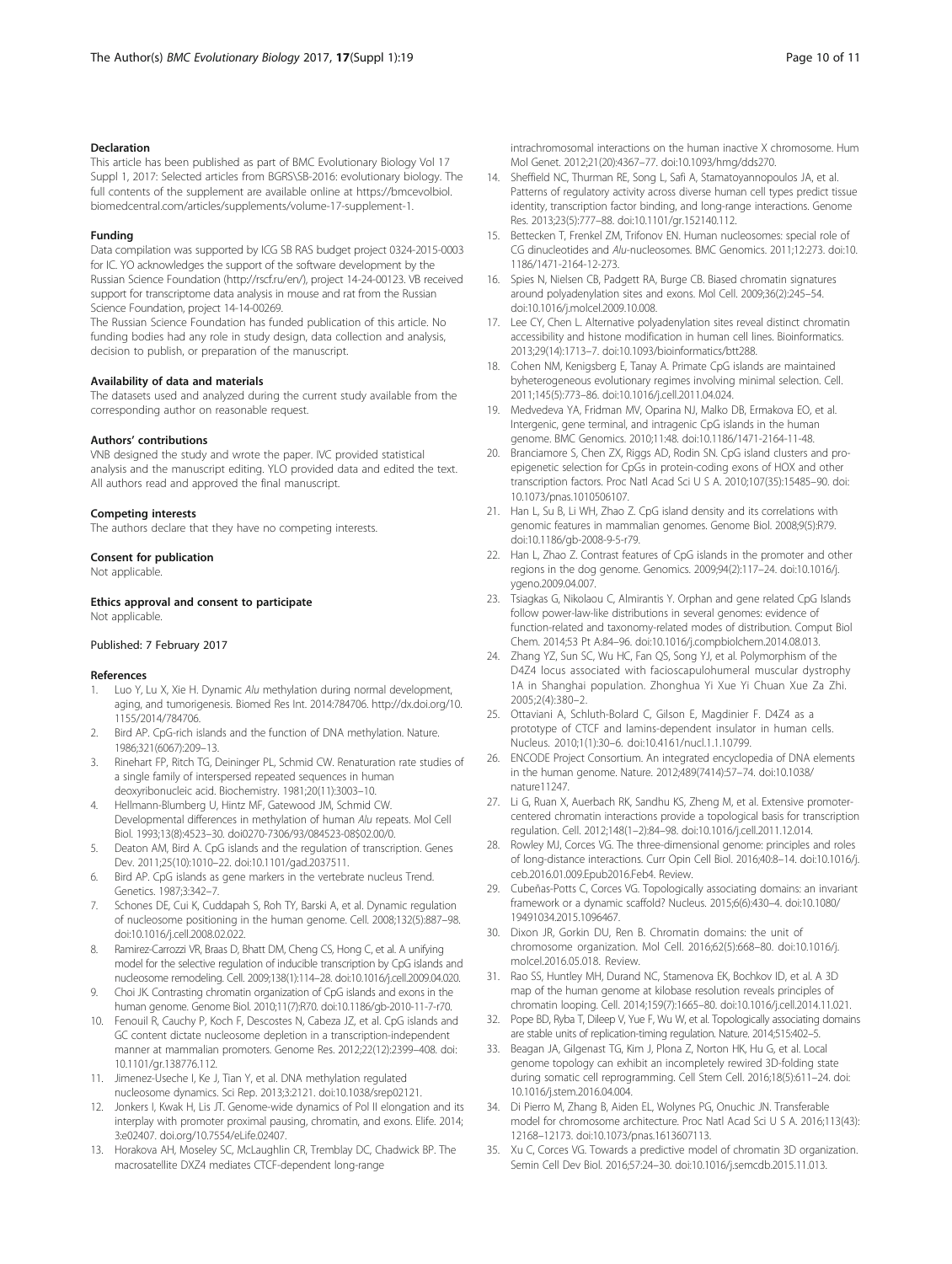### <span id="page-9-0"></span>Declaration

This article has been published as part of BMC Evolutionary Biology Vol 17 Suppl 1, 2017: Selected articles from BGRS\SB-2016: evolutionary biology. The full contents of the supplement are available online at [https://bmcevolbiol.](https://bmcevolbiol.biomedcentral.com/articles/supplements/volume-17-supplement-1) [biomedcentral.com/articles/supplements/volume-17-supplement-1.](https://bmcevolbiol.biomedcentral.com/articles/supplements/volume-17-supplement-1)

### Funding

Data compilation was supported by ICG SB RAS budget project 0324-2015-0003 for IC. YO acknowledges the support of the software development by the Russian Science Foundation (<http://rscf.ru/en/>), project 14-24-00123. VB received support for transcriptome data analysis in mouse and rat from the Russian Science Foundation, project 14-14-00269.

The Russian Science Foundation has funded publication of this article. No funding bodies had any role in study design, data collection and analysis, decision to publish, or preparation of the manuscript.

### Availability of data and materials

The datasets used and analyzed during the current study available from the corresponding author on reasonable request.

### Authors' contributions

VNB designed the study and wrote the paper. IVC provided statistical analysis and the manuscript editing. YLO provided data and edited the text. All authors read and approved the final manuscript.

### Competing interests

The authors declare that they have no competing interests.

### Consent for publication

Not applicable.

Ethics approval and consent to participate Not applicable.

### Published: 7 February 2017

### References

- Luo Y, Lu X, Xie H. Dynamic Alu methylation during normal development, aging, and tumorigenesis. Biomed Res Int. 2014:784706. [http://dx.doi.org/10.](http://dx.doi.org/10.1155/2014/784706) [1155/2014/784706](http://dx.doi.org/10.1155/2014/784706).
- Bird AP. CpG-rich islands and the function of DNA methylation. Nature. 1986;321(6067):209–13.
- 3. Rinehart FP, Ritch TG, Deininger PL, Schmid CW. Renaturation rate studies of a single family of interspersed repeated sequences in human deoxyribonucleic acid. Biochemistry. 1981;20(11):3003–10.
- 4. Hellmann-Blumberg U, Hintz MF, Gatewood JM, Schmid CW. Developmental differences in methylation of human Alu repeats. Mol Cell Biol. 1993;13(8):4523–30. doi0270-7306/93/084523-08\$02.00/0.
- 5. Deaton AM, Bird A. CpG islands and the regulation of transcription. Genes Dev. 2011;25(10):1010–22. doi[:10.1101/gad.2037511](http://dx.doi.org/10.1101/gad.2037511).
- 6. Bird AP. CpG islands as gene markers in the vertebrate nucleus Trend. Genetics. 1987;3:342–7.
- Schones DE, Cui K, Cuddapah S, Roh TY, Barski A, et al. Dynamic regulation of nucleosome positioning in the human genome. Cell. 2008;132(5):887–98. doi[:10.1016/j.cell.2008.02.022.](http://dx.doi.org/10.1016/j.cell.2008.02.022)
- 8. Ramirez-Carrozzi VR, Braas D, Bhatt DM, Cheng CS, Hong C, et al. A unifying model for the selective regulation of inducible transcription by CpG islands and nucleosome remodeling. Cell. 2009;138(1):114–28. doi:[10.1016/j.cell.2009.04.020](http://dx.doi.org/10.1016/j.cell.2009.04.020).
- 9. Choi JK. Contrasting chromatin organization of CpG islands and exons in the human genome. Genome Biol. 2010;11(7):R70. doi[:10.1186/gb-2010-11-7-r70.](http://dx.doi.org/10.1186/gb-2010-11-7-r70)
- 10. Fenouil R, Cauchy P, Koch F, Descostes N, Cabeza JZ, et al. CpG islands and GC content dictate nucleosome depletion in a transcription-independent manner at mammalian promoters. Genome Res. 2012;22(12):2399–408. doi: [10.1101/gr.138776.112.](http://dx.doi.org/10.1101/gr.138776.112)
- 11. Jimenez-Useche I, Ke J, Tian Y, et al. DNA methylation regulated nucleosome dynamics. Sci Rep. 2013;3:2121. doi:[10.1038/srep02121.](http://dx.doi.org/10.1038/srep02121)
- 12. Jonkers I, Kwak H, Lis JT. Genome-wide dynamics of Pol II elongation and its interplay with promoter proximal pausing, chromatin, and exons. Elife. 2014; 3:e02407. [doi.org/10.7554/eLife.02407](http://doi.org/10.7554/eLife.02407).
- 13. Horakova AH, Moseley SC, McLaughlin CR, Tremblay DC, Chadwick BP. The macrosatellite DXZ4 mediates CTCF-dependent long-range

intrachromosomal interactions on the human inactive X chromosome. Hum Mol Genet. 2012;21(20):4367–77. doi[:10.1093/hmg/dds270.](http://dx.doi.org/10.1093/hmg/dds270)

- 14. Sheffield NC, Thurman RE, Song L, Safi A, Stamatoyannopoulos JA, et al. Patterns of regulatory activity across diverse human cell types predict tissue identity, transcription factor binding, and long-range interactions. Genome Res. 2013;23(5):777–88. doi:[10.1101/gr.152140.112.](http://dx.doi.org/10.1101/gr.152140.112)
- 15. Bettecken T, Frenkel ZM, Trifonov EN. Human nucleosomes: special role of CG dinucleotides and Alu-nucleosomes. BMC Genomics. 2011;12:273. doi:[10.](http://dx.doi.org/10.1186/1471-2164-12-273) [1186/1471-2164-12-273](http://dx.doi.org/10.1186/1471-2164-12-273).
- 16. Spies N, Nielsen CB, Padgett RA, Burge CB. Biased chromatin signatures around polyadenylation sites and exons. Mol Cell. 2009;36(2):245–54. doi[:10.1016/j.molcel.2009.10.008](http://dx.doi.org/10.1016/j.molcel.2009.10.008).
- 17. Lee CY, Chen L. Alternative polyadenylation sites reveal distinct chromatin accessibility and histone modification in human cell lines. Bioinformatics. 2013;29(14):1713–7. doi[:10.1093/bioinformatics/btt288.](http://dx.doi.org/10.1093/bioinformatics/btt288)
- 18. Cohen NM, Kenigsberg E, Tanay A. Primate CpG islands are maintained byheterogeneous evolutionary regimes involving minimal selection. Cell. 2011;145(5):773–86. doi[:10.1016/j.cell.2011.04.024.](http://dx.doi.org/10.1016/j.cell.2011.04.024)
- 19. Medvedeva YA, Fridman MV, Oparina NJ, Malko DB, Ermakova EO, et al. Intergenic, gene terminal, and intragenic CpG islands in the human genome. BMC Genomics. 2010;11:48. doi[:10.1186/1471-2164-11-48.](http://dx.doi.org/10.1186/1471-2164-11-48)
- 20. Branciamore S, Chen ZX, Riggs AD, Rodin SN. CpG island clusters and proepigenetic selection for CpGs in protein-coding exons of HOX and other transcription factors. Proc Natl Acad Sci U S A. 2010;107(35):15485–90. doi: [10.1073/pnas.1010506107.](http://dx.doi.org/10.1073/pnas.1010506107)
- 21. Han L, Su B, Li WH, Zhao Z. CpG island density and its correlations with genomic features in mammalian genomes. Genome Biol. 2008;9(5):R79. doi[:10.1186/gb-2008-9-5-r79.](http://dx.doi.org/10.1186/gb-2008-9-5-r79)
- 22. Han L, Zhao Z. Contrast features of CpG islands in the promoter and other regions in the dog genome. Genomics. 2009;94(2):117–24. doi:[10.1016/j.](http://dx.doi.org/10.1016/j.ygeno.2009.04.007) [ygeno.2009.04.007.](http://dx.doi.org/10.1016/j.ygeno.2009.04.007)
- 23. Tsiagkas G, Nikolaou C, Almirantis Y. Orphan and gene related CpG Islands follow power-law-like distributions in several genomes: evidence of function-related and taxonomy-related modes of distribution. Comput Biol Chem. 2014;53 Pt A:84–96. doi:[10.1016/j.compbiolchem.2014.08.013](http://dx.doi.org/10.1016/j.compbiolchem.2014.08.013).
- 24. Zhang YZ, Sun SC, Wu HC, Fan QS, Song YJ, et al. Polymorphism of the D4Z4 locus associated with facioscapulohumeral muscular dystrophy 1A in Shanghai population. Zhonghua Yi Xue Yi Chuan Xue Za Zhi. 2005;2(4):380–2.
- 25. Ottaviani A, Schluth-Bolard C, Gilson E, Magdinier F. D4Z4 as a prototype of CTCF and lamins-dependent insulator in human cells. Nucleus. 2010;1(1):30–6. doi[:10.4161/nucl.1.1.10799](http://dx.doi.org/10.4161/nucl.1.1.10799).
- 26. ENCODE Project Consortium. An integrated encyclopedia of DNA elements in the human genome. Nature. 2012;489(7414):57–74. doi[:10.1038/](http://dx.doi.org/10.1038/nature11247) [nature11247](http://dx.doi.org/10.1038/nature11247).
- 27. Li G, Ruan X, Auerbach RK, Sandhu KS, Zheng M, et al. Extensive promotercentered chromatin interactions provide a topological basis for transcription regulation. Cell. 2012;148(1–2):84–98. doi:[10.1016/j.cell.2011.12.014](http://dx.doi.org/10.1016/j.cell.2011.12.014).
- 28. Rowley MJ, Corces VG. The three-dimensional genome: principles and roles of long-distance interactions. Curr Opin Cell Biol. 2016;40:8–14. doi[:10.1016/j.](http://dx.doi.org/10.1016/j.ceb.2016.01.009.Epub2016.Feb4) [ceb.2016.01.009.Epub2016.Feb4](http://dx.doi.org/10.1016/j.ceb.2016.01.009.Epub2016.Feb4). Review.
- 29. Cubeñas-Potts C, Corces VG. Topologically associating domains: an invariant framework or a dynamic scaffold? Nucleus. 2015;6(6):430–4. doi:[10.1080/](http://dx.doi.org/10.1080/19491034.2015.1096467) [19491034.2015.1096467.](http://dx.doi.org/10.1080/19491034.2015.1096467)
- 30. Dixon JR, Gorkin DU, Ren B. Chromatin domains: the unit of chromosome organization. Mol Cell. 2016;62(5):668–80. doi:[10.1016/j.](http://dx.doi.org/10.1016/j.molcel.2016.05.018) [molcel.2016.05.018.](http://dx.doi.org/10.1016/j.molcel.2016.05.018) Review.
- 31. Rao SS, Huntley MH, Durand NC, Stamenova EK, Bochkov ID, et al. A 3D map of the human genome at kilobase resolution reveals principles of chromatin looping. Cell. 2014;159(7):1665–80. doi[:10.1016/j.cell.2014.11.021.](http://dx.doi.org/10.1016/j.cell.2014.11.021)
- 32. Pope BD, Ryba T, Dileep V, Yue F, Wu W, et al. Topologically associating domains are stable units of replication-timing regulation. Nature. 2014;515:402–5.
- 33. Beagan JA, Gilgenast TG, Kim J, Plona Z, Norton HK, Hu G, et al. Local genome topology can exhibit an incompletely rewired 3D-folding state during somatic cell reprogramming. Cell Stem Cell. 2016;18(5):611–24. doi: [10.1016/j.stem.2016.04.004.](http://dx.doi.org/10.1016/j.stem.2016.04.004)
- 34. Di Pierro M, Zhang B, Aiden EL, Wolynes PG, Onuchic JN. Transferable model for chromosome architecture. Proc Natl Acad Sci U S A. 2016;113(43): 12168–12173. doi[:10.1073/pnas.1613607113.](http://dx.doi.org/10.1073/pnas.1613607113)
- 35. Xu C, Corces VG. Towards a predictive model of chromatin 3D organization. Semin Cell Dev Biol. 2016;57:24–30. doi:[10.1016/j.semcdb.2015.11.013](http://dx.doi.org/10.1016/j.semcdb.2015.11.013).